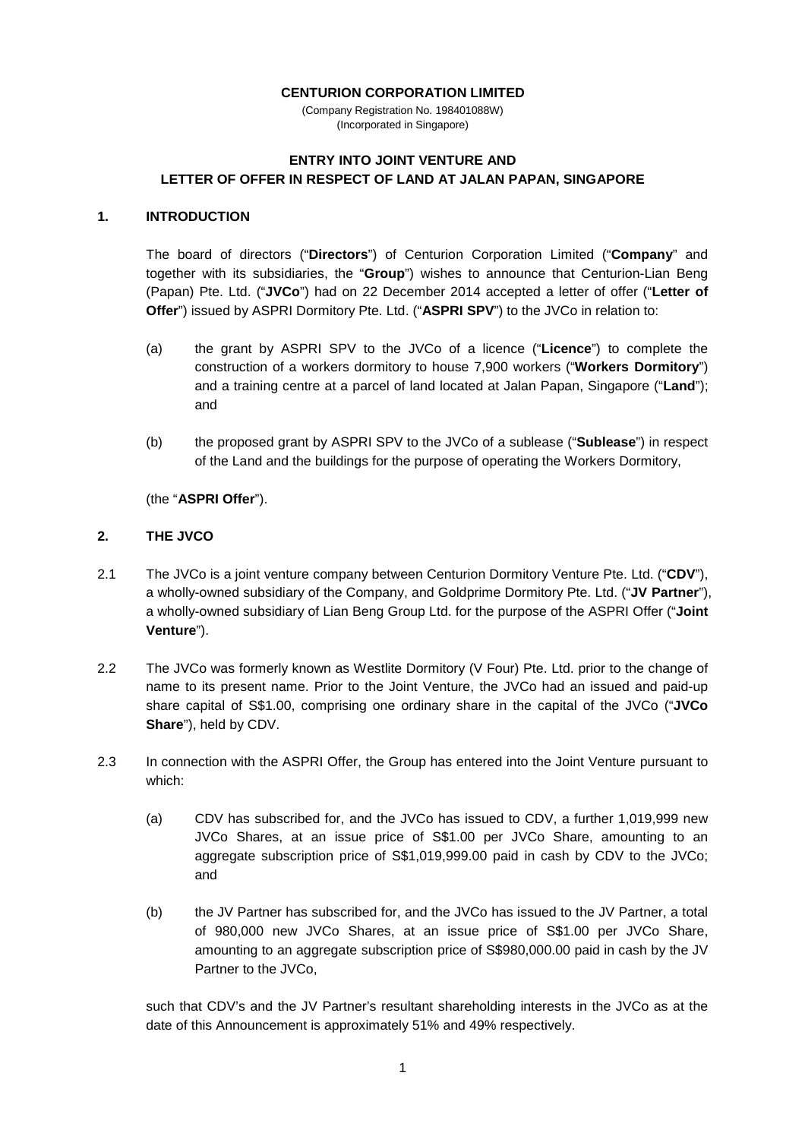#### **CENTURION CORPORATION LIMITED**

(Company Registration No. 198401088W) (Incorporated in Singapore)

## **ENTRY INTO JOINT VENTURE AND LETTER OF OFFER IN RESPECT OF LAND AT JALAN PAPAN, SINGAPORE**

## **1. INTRODUCTION**

The board of directors ("**Directors**") of Centurion Corporation Limited ("**Company**" and together with its subsidiaries, the "**Group**") wishes to announce that Centurion-Lian Beng (Papan) Pte. Ltd. ("**JVCo**") had on 22 December 2014 accepted a letter of offer ("**Letter of Offer**") issued by ASPRI Dormitory Pte. Ltd. ("**ASPRI SPV**") to the JVCo in relation to:

- (a) the grant by ASPRI SPV to the JVCo of a licence ("**Licence**") to complete the construction of a workers dormitory to house 7,900 workers ("**Workers Dormitory**") and a training centre at a parcel of land located at Jalan Papan, Singapore ("**Land**"); and
- (b) the proposed grant by ASPRI SPV to the JVCo of a sublease ("**Sublease**") in respect of the Land and the buildings for the purpose of operating the Workers Dormitory,

(the "**ASPRI Offer**").

# **2. THE JVCO**

- 2.1 The JVCo is a joint venture company between Centurion Dormitory Venture Pte. Ltd. ("**CDV**"), a wholly-owned subsidiary of the Company, and Goldprime Dormitory Pte. Ltd. ("**JV Partner**"), a wholly-owned subsidiary of Lian Beng Group Ltd. for the purpose of the ASPRI Offer ("**Joint Venture**").
- 2.2 The JVCo was formerly known as Westlite Dormitory (V Four) Pte. Ltd. prior to the change of name to its present name. Prior to the Joint Venture, the JVCo had an issued and paid-up share capital of S\$1.00, comprising one ordinary share in the capital of the JVCo ("**JVCo Share**"), held by CDV.
- 2.3 In connection with the ASPRI Offer, the Group has entered into the Joint Venture pursuant to which:
	- (a) CDV has subscribed for, and the JVCo has issued to CDV, a further 1,019,999 new JVCo Shares, at an issue price of S\$1.00 per JVCo Share, amounting to an aggregate subscription price of S\$1,019,999.00 paid in cash by CDV to the JVCo; and
	- (b) the JV Partner has subscribed for, and the JVCo has issued to the JV Partner, a total of 980,000 new JVCo Shares, at an issue price of S\$1.00 per JVCo Share, amounting to an aggregate subscription price of S\$980,000.00 paid in cash by the JV Partner to the JVCo,

such that CDV's and the JV Partner's resultant shareholding interests in the JVCo as at the date of this Announcement is approximately 51% and 49% respectively.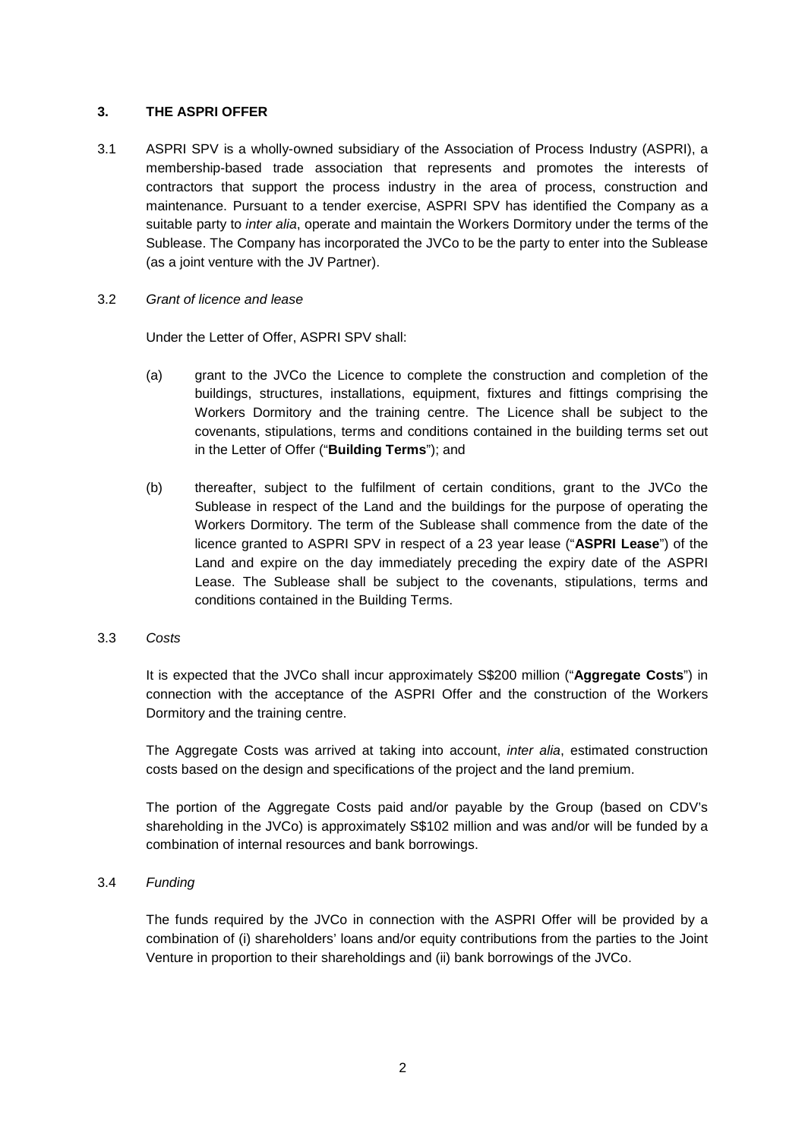## **3. THE ASPRI OFFER**

- 3.1 ASPRI SPV is a wholly-owned subsidiary of the Association of Process Industry (ASPRI), a membership-based trade association that represents and promotes the interests of contractors that support the process industry in the area of process, construction and maintenance. Pursuant to a tender exercise, ASPRI SPV has identified the Company as a suitable party to *inter alia*, operate and maintain the Workers Dormitory under the terms of the Sublease. The Company has incorporated the JVCo to be the party to enter into the Sublease (as a joint venture with the JV Partner).
- 3.2 *Grant of licence and lease*

Under the Letter of Offer, ASPRI SPV shall:

- (a) grant to the JVCo the Licence to complete the construction and completion of the buildings, structures, installations, equipment, fixtures and fittings comprising the Workers Dormitory and the training centre. The Licence shall be subject to the covenants, stipulations, terms and conditions contained in the building terms set out in the Letter of Offer ("**Building Terms**"); and
- (b) thereafter, subject to the fulfilment of certain conditions, grant to the JVCo the Sublease in respect of the Land and the buildings for the purpose of operating the Workers Dormitory. The term of the Sublease shall commence from the date of the licence granted to ASPRI SPV in respect of a 23 year lease ("**ASPRI Lease**") of the Land and expire on the day immediately preceding the expiry date of the ASPRI Lease. The Sublease shall be subject to the covenants, stipulations, terms and conditions contained in the Building Terms.

## 3.3 *Costs*

It is expected that the JVCo shall incur approximately S\$200 million ("**Aggregate Costs**") in connection with the acceptance of the ASPRI Offer and the construction of the Workers Dormitory and the training centre.

The Aggregate Costs was arrived at taking into account, *inter alia*, estimated construction costs based on the design and specifications of the project and the land premium.

The portion of the Aggregate Costs paid and/or payable by the Group (based on CDV's shareholding in the JVCo) is approximately S\$102 million and was and/or will be funded by a combination of internal resources and bank borrowings.

# 3.4 *Funding*

The funds required by the JVCo in connection with the ASPRI Offer will be provided by a combination of (i) shareholders' loans and/or equity contributions from the parties to the Joint Venture in proportion to their shareholdings and (ii) bank borrowings of the JVCo.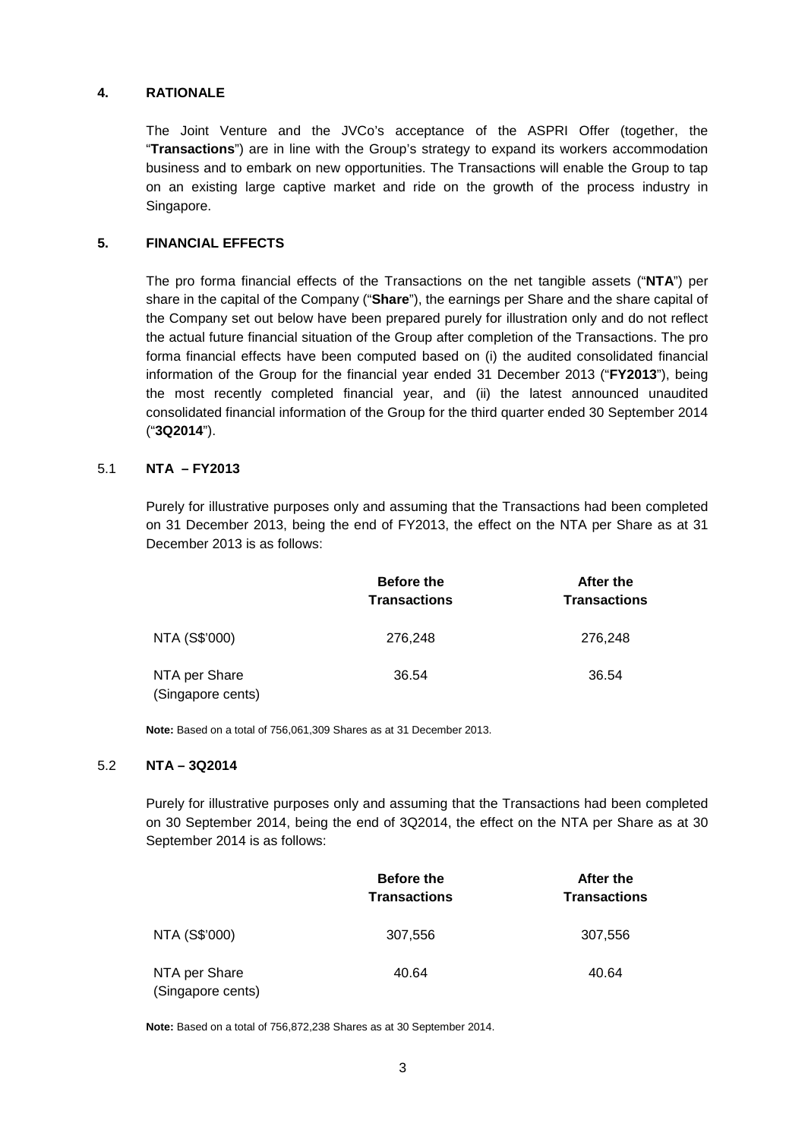## **4. RATIONALE**

The Joint Venture and the JVCo's acceptance of the ASPRI Offer (together, the "**Transactions**") are in line with the Group's strategy to expand its workers accommodation business and to embark on new opportunities. The Transactions will enable the Group to tap on an existing large captive market and ride on the growth of the process industry in Singapore.

## **5. FINANCIAL EFFECTS**

The pro forma financial effects of the Transactions on the net tangible assets ("**NTA**") per share in the capital of the Company ("**Share**"), the earnings per Share and the share capital of the Company set out below have been prepared purely for illustration only and do not reflect the actual future financial situation of the Group after completion of the Transactions. The pro forma financial effects have been computed based on (i) the audited consolidated financial information of the Group for the financial year ended 31 December 2013 ("**FY2013**"), being the most recently completed financial year, and (ii) the latest announced unaudited consolidated financial information of the Group for the third quarter ended 30 September 2014 ("**3Q2014**").

#### 5.1 **NTA – FY2013**

Purely for illustrative purposes only and assuming that the Transactions had been completed on 31 December 2013, being the end of FY2013, the effect on the NTA per Share as at 31 December 2013 is as follows:

|                                    | <b>Before the</b><br><b>Transactions</b> | After the<br><b>Transactions</b> |
|------------------------------------|------------------------------------------|----------------------------------|
| NTA (S\$'000)                      | 276,248                                  | 276,248                          |
| NTA per Share<br>(Singapore cents) | 36.54                                    | 36.54                            |

**Note:** Based on a total of 756,061,309 Shares as at 31 December 2013.

## 5.2 **NTA – 3Q2014**

Purely for illustrative purposes only and assuming that the Transactions had been completed on 30 September 2014, being the end of 3Q2014, the effect on the NTA per Share as at 30 September 2014 is as follows:

|                                    | <b>Before the</b><br><b>Transactions</b> | After the<br><b>Transactions</b> |
|------------------------------------|------------------------------------------|----------------------------------|
| NTA (S\$'000)                      | 307,556                                  | 307,556                          |
| NTA per Share<br>(Singapore cents) | 40.64                                    | 40.64                            |

**Note:** Based on a total of 756,872,238 Shares as at 30 September 2014.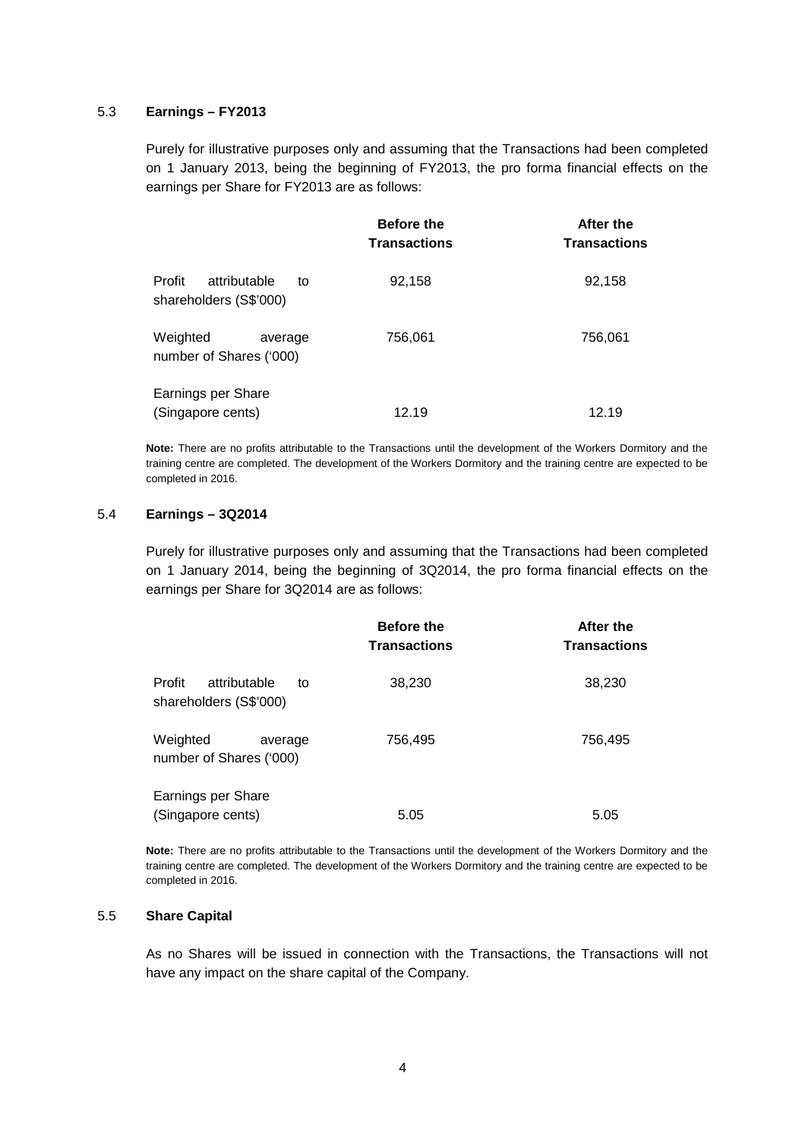## 5.3 **Earnings – FY2013**

Purely for illustrative purposes only and assuming that the Transactions had been completed on 1 January 2013, being the beginning of FY2013, the pro forma financial effects on the earnings per Share for FY2013 are as follows:

|                                                        | <b>Before the</b><br><b>Transactions</b> | After the<br><b>Transactions</b> |
|--------------------------------------------------------|------------------------------------------|----------------------------------|
| Profit<br>attributable<br>to<br>shareholders (S\$'000) | 92,158                                   | 92,158                           |
| Weighted<br>average<br>number of Shares ('000)         | 756,061                                  | 756,061                          |
| Earnings per Share<br>(Singapore cents)                | 12.19                                    | 12.19                            |

**Note:** There are no profits attributable to the Transactions until the development of the Workers Dormitory and the training centre are completed. The development of the Workers Dormitory and the training centre are expected to be completed in 2016.

### 5.4 **Earnings – 3Q2014**

Purely for illustrative purposes only and assuming that the Transactions had been completed on 1 January 2014, being the beginning of 3Q2014, the pro forma financial effects on the earnings per Share for 3Q2014 are as follows:

|                                                        | <b>Before the</b><br><b>Transactions</b> | After the<br><b>Transactions</b> |
|--------------------------------------------------------|------------------------------------------|----------------------------------|
| Profit<br>attributable<br>to<br>shareholders (S\$'000) | 38,230                                   | 38,230                           |
| Weighted<br>average<br>number of Shares ('000)         | 756,495                                  | 756,495                          |
| Earnings per Share<br>(Singapore cents)                | 5.05                                     | 5.05                             |

**Note:** There are no profits attributable to the Transactions until the development of the Workers Dormitory and the training centre are completed. The development of the Workers Dormitory and the training centre are expected to be completed in 2016.

## 5.5 **Share Capital**

As no Shares will be issued in connection with the Transactions, the Transactions will not have any impact on the share capital of the Company.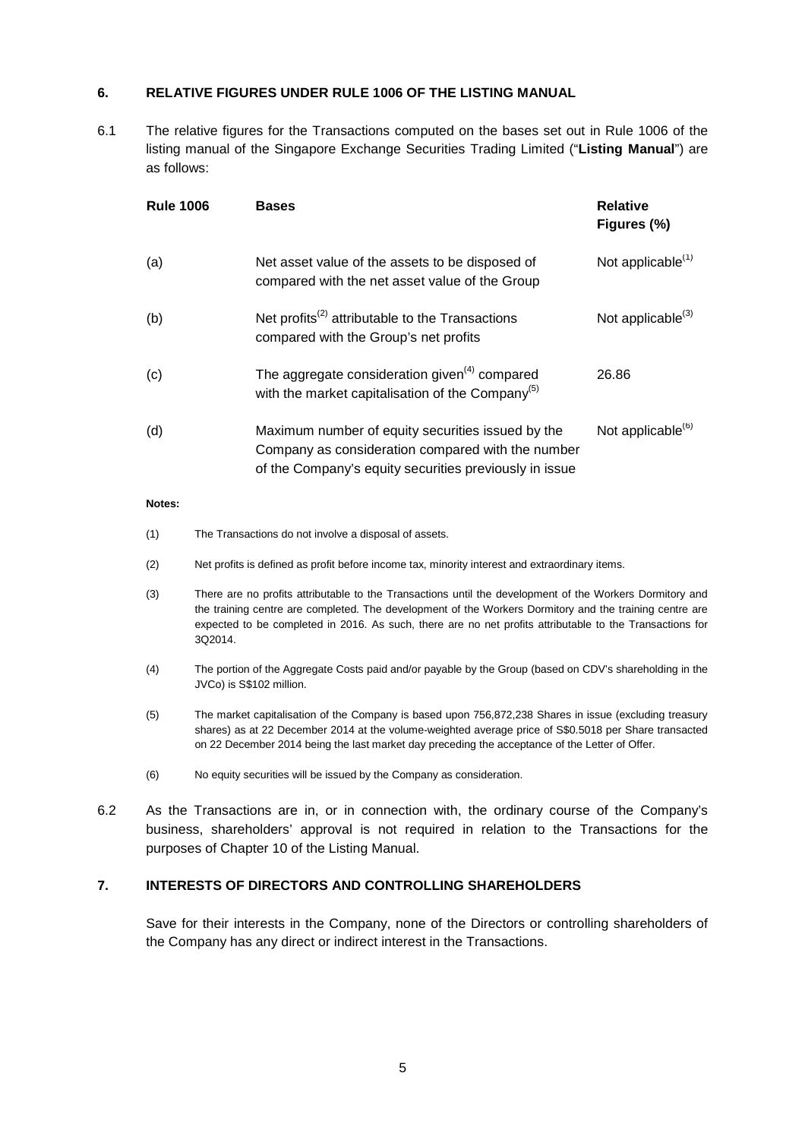## **6. RELATIVE FIGURES UNDER RULE 1006 OF THE LISTING MANUAL**

6.1 The relative figures for the Transactions computed on the bases set out in Rule 1006 of the listing manual of the Singapore Exchange Securities Trading Limited ("**Listing Manual**") are as follows:

| <b>Rule 1006</b> | <b>Bases</b>                                                                                                                                                     | <b>Relative</b><br>Figures (%) |
|------------------|------------------------------------------------------------------------------------------------------------------------------------------------------------------|--------------------------------|
| (a)              | Net asset value of the assets to be disposed of<br>compared with the net asset value of the Group                                                                | Not applicable $(1)$           |
| (b)              | Net profits <sup><math>(2)</math></sup> attributable to the Transactions<br>compared with the Group's net profits                                                | Not applicable $^{(3)}$        |
| (c)              | The aggregate consideration given <sup>(4)</sup> compared<br>with the market capitalisation of the Company <sup>(5)</sup>                                        | 26.86                          |
| (d)              | Maximum number of equity securities issued by the<br>Company as consideration compared with the number<br>of the Company's equity securities previously in issue | Not applicable $^{(6)}$        |

#### **Notes:**

- (1) The Transactions do not involve a disposal of assets.
- (2) Net profits is defined as profit before income tax, minority interest and extraordinary items.
- (3) There are no profits attributable to the Transactions until the development of the Workers Dormitory and the training centre are completed. The development of the Workers Dormitory and the training centre are expected to be completed in 2016. As such, there are no net profits attributable to the Transactions for 3Q2014.
- (4) The portion of the Aggregate Costs paid and/or payable by the Group (based on CDV's shareholding in the JVCo) is S\$102 million.
- (5) The market capitalisation of the Company is based upon 756,872,238 Shares in issue (excluding treasury shares) as at 22 December 2014 at the volume-weighted average price of S\$0.5018 per Share transacted on 22 December 2014 being the last market day preceding the acceptance of the Letter of Offer.
- (6) No equity securities will be issued by the Company as consideration.
- 6.2 As the Transactions are in, or in connection with, the ordinary course of the Company's business, shareholders' approval is not required in relation to the Transactions for the purposes of Chapter 10 of the Listing Manual.

# **7. INTERESTS OF DIRECTORS AND CONTROLLING SHAREHOLDERS**

Save for their interests in the Company, none of the Directors or controlling shareholders of the Company has any direct or indirect interest in the Transactions.